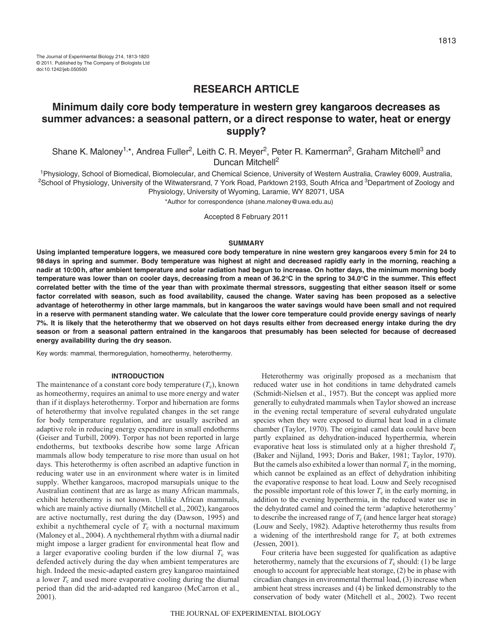# **RESEARCH ARTICLE**

# **Minimum daily core body temperature in western grey kangaroos decreases as summer advances: a seasonal pattern, or a direct response to water, heat or energy supply?**

Shane K. Maloney<sup>1,\*</sup>, Andrea Fuller<sup>2</sup>, Leith C. R. Meyer<sup>2</sup>, Peter R. Kamerman<sup>2</sup>, Graham Mitchell<sup>3</sup> and Duncan Mitchell<sup>2</sup>

1Physiology, School of Biomedical, Biomolecular, and Chemical Science, University of Western Australia, Crawley 6009, Australia, <sup>2</sup>School of Physiology, University of the Witwatersrand, 7 York Road, Parktown 2193, South Africa and <sup>3</sup>Department of Zoology and Physiology, University of Wyoming, Laramie, WY 82071, USA

\*Author for correspondence (shane.maloney@uwa.edu.au)

Accepted 8 February 2011

#### **SUMMARY**

**Using implanted temperature loggers, we measured core body temperature in nine western grey kangaroos every 5min for 24 to 98days in spring and summer. Body temperature was highest at night and decreased rapidly early in the morning, reaching a nadir at 10:00h, after ambient temperature and solar radiation had begun to increase. On hotter days, the minimum morning body temperature was lower than on cooler days, decreasing from a mean of 36.2°C in the spring to 34.0°C in the summer. This effect correlated better with the time of the year than with proximate thermal stressors, suggesting that either season itself or some factor correlated with season, such as food availability, caused the change. Water saving has been proposed as a selective advantage of heterothermy in other large mammals, but in kangaroos the water savings would have been small and not required in a reserve with permanent standing water. We calculate that the lower core temperature could provide energy savings of nearly 7%. It is likely that the heterothermy that we observed on hot days results either from decreased energy intake during the dry season or from a seasonal pattern entrained in the kangaroos that presumably has been selected for because of decreased energy availability during the dry season.**

Key words: mammal, thermoregulation, homeothermy, heterothermy.

### **INTRODUCTION**

The maintenance of a constant core body temperature  $(T_c)$ , known as homeothermy, requires an animal to use more energy and water than if it displays heterothermy. Torpor and hibernation are forms of heterothermy that involve regulated changes in the set range for body temperature regulation, and are usually ascribed an adaptive role in reducing energy expenditure in small endotherms (Geiser and Turbill, 2009). Torpor has not been reported in large endotherms, but textbooks describe how some large African mammals allow body temperature to rise more than usual on hot days. This heterothermy is often ascribed an adaptive function in reducing water use in an environment where water is in limited supply. Whether kangaroos, macropod marsupials unique to the Australian continent that are as large as many African mammals, exhibit heterothermy is not known. Unlike African mammals, which are mainly active diurnally (Mitchell et al., 2002), kangaroos are active nocturnally, rest during the day (Dawson, 1995) and exhibit a nychthemeral cycle of  $T_c$  with a nocturnal maximum (Maloney et al., 2004). A nychthemeral rhythm with a diurnal nadir might impose a larger gradient for environmental heat flow and a larger evaporative cooling burden if the low diurnal  $T_c$  was defended actively during the day when ambient temperatures are high. Indeed the mesic-adapted eastern grey kangaroo maintained a lower  $T_c$  and used more evaporative cooling during the diurnal period than did the arid-adapted red kangaroo (McCarron et al., 2001).

Heterothermy was originally proposed as a mechanism that reduced water use in hot conditions in tame dehydrated camels (Schmidt-Nielsen et al., 1957). But the concept was applied more generally to euhydrated mammals when Taylor showed an increase in the evening rectal temperature of several euhydrated ungulate species when they were exposed to diurnal heat load in a climate chamber (Taylor, 1970). The original camel data could have been partly explained as dehydration-induced hyperthermia, wherein evaporative heat loss is stimulated only at a higher threshold  $T_c$ (Baker and Nijland, 1993; Doris and Baker, 1981; Taylor, 1970). But the camels also exhibited a lower than normal  $T_c$  in the morning, which cannot be explained as an effect of dehydration inhibiting the evaporative response to heat load. Louw and Seely recognised the possible important role of this lower  $T_c$  in the early morning, in addition to the evening hyperthermia, in the reduced water use in the dehydrated camel and coined the term 'adaptive heterothermy' to describe the increased range of  $T_c$  (and hence larger heat storage) (Louw and Seely, 1982). Adaptive heterothermy thus results from a widening of the interthreshold range for  $T_c$  at both extremes (Jessen, 2001).

Four criteria have been suggested for qualification as adaptive heterothermy, namely that the excursions of  $T_c$  should: (1) be large enough to account for appreciable heat storage, (2) be in phase with circadian changes in environmental thermal load, (3) increase when ambient heat stress increases and (4) be linked demonstrably to the conservation of body water (Mitchell et al., 2002). Two recent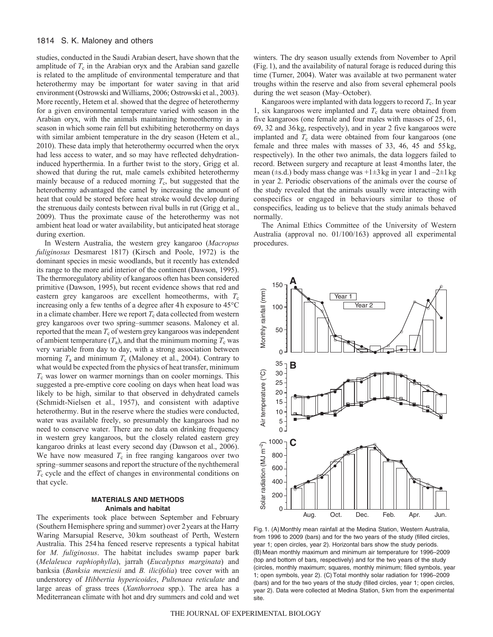## 1814 S. K. Maloney and others

studies, conducted in the Saudi Arabian desert, have shown that the amplitude of  $T_c$  in the Arabian oryx and the Arabian sand gazelle is related to the amplitude of environmental temperature and that heterothermy may be important for water saving in that arid environment (Ostrowski and Williams, 2006; Ostrowski et al., 2003). More recently, Hetem et al. showed that the degree of heterothermy for a given environmental temperature varied with season in the Arabian oryx, with the animals maintaining homeothermy in a season in which some rain fell but exhibiting heterothermy on days with similar ambient temperature in the dry season (Hetem et al., 2010). These data imply that heterothermy occurred when the oryx had less access to water, and so may have reflected dehydrationinduced hyperthermia. In a further twist to the story, Grigg et al. showed that during the rut, male camels exhibited heterothermy mainly because of a reduced morning  $T_c$ , but suggested that the heterothermy advantaged the camel by increasing the amount of heat that could be stored before heat stroke would develop during the strenuous daily contests between rival bulls in rut (Grigg et al., 2009). Thus the proximate cause of the heterothermy was not ambient heat load or water availability, but anticipated heat storage during exertion.

In Western Australia, the western grey kangaroo (*Macropus fuliginosus* Desmarest 1817) (Kirsch and Poole, 1972) is the dominant species in mesic woodlands, but it recently has extended its range to the more arid interior of the continent (Dawson, 1995). The thermoregulatory ability of kangaroos often has been considered primitive (Dawson, 1995), but recent evidence shows that red and eastern grey kangaroos are excellent homeotherms, with  $T_c$ increasing only a few tenths of a degree after 4h exposure to 45°C in a climate chamber. Here we report  $T_c$  data collected from western grey kangaroos over two spring–summer seasons. Maloney et al. reported that the mean  $T_c$  of western grey kangaroos was independent of ambient temperature  $(T_a)$ , and that the minimum morning  $T_c$  was very variable from day to day, with a strong association between morning  $T_a$  and minimum  $T_c$  (Maloney et al., 2004). Contrary to what would be expected from the physics of heat transfer, minimum *T*<sup>c</sup> was lower on warmer mornings than on cooler mornings. This suggested a pre-emptive core cooling on days when heat load was likely to be high, similar to that observed in dehydrated camels (Schmidt-Nielsen et al., 1957), and consistent with adaptive heterothermy. But in the reserve where the studies were conducted, water was available freely, so presumably the kangaroos had no need to conserve water. There are no data on drinking frequency in western grey kangaroos, but the closely related eastern grey kangaroo drinks at least every second day (Dawson et al., 2006). We have now measured  $T_c$  in free ranging kangaroos over two spring–summer seasons and report the structure of the nychthemeral *T*<sup>c</sup> cycle and the effect of changes in environmental conditions on that cycle.

## **MATERIALS AND METHODS Animals and habitat**

The experiments took place between September and February (Southern Hemisphere spring and summer) over 2years at the Harry Waring Marsupial Reserve, 30km southeast of Perth, Western Australia. This 254ha fenced reserve represents a typical habitat for *M. fuliginosus*. The habitat includes swamp paper bark (*Melaleuca raphiophylla*), jarrah (*Eucalyptus marginata*) and banksia (*Banksia menziesii* and *B. ilicifolia*) tree cover with an understorey of *Hibbertia hypericoides*, *Pultenaea reticulate* and large areas of grass trees (*Xanthorroea* spp.). The area has a Mediterranean climate with hot and dry summers and cold and wet winters. The dry season usually extends from November to April (Fig.1), and the availability of natural forage is reduced during this time (Turner, 2004). Water was available at two permanent water troughs within the reserve and also from several ephemeral pools during the wet season (May–October).

Kangaroos were implanted with data loggers to record  $T_c$ . In year 1, six kangaroos were implanted and  $T_c$  data were obtained from five kangaroos (one female and four males with masses of 25, 61, 69, 32 and 36kg, respectively), and in year 2 five kangaroos were implanted and  $T_c$  data were obtained from four kangaroos (one female and three males with masses of 33, 46, 45 and 55kg, respectively). In the other two animals, the data loggers failed to record. Between surgery and recapture at least 4months later, the mean ( $\pm$ s.d.) body mass change was  $+1\pm 3$  kg in year 1 and  $-2\pm 1$  kg in year 2. Periodic observations of the animals over the course of the study revealed that the animals usually were interacting with conspecifics or engaged in behaviours similar to those of conspecifics, leading us to believe that the study animals behaved normally.

The Animal Ethics Committee of the University of Western Australia (approval no. 01/100/163) approved all experimental procedures.



Fig. 1. (A) Monthly mean rainfall at the Medina Station, Western Australia, from 1996 to 2009 (bars) and for the two years of the study (filled circles, year 1; open circles, year 2). Horizontal bars show the study periods. (B) Mean monthly maximum and minimum air temperature for 1996–2009 (top and bottom of bars, respectively) and for the two years of the study (circles, monthly maximum; squares, monthly minimum; filled symbols, year 1; open symbols, year 2). (C)Total monthly solar radiation for 1996–2009 (bars) and for the two years of the study (filled circles, year 1; open circles, year 2). Data were collected at Medina Station, 5 km from the experimental site.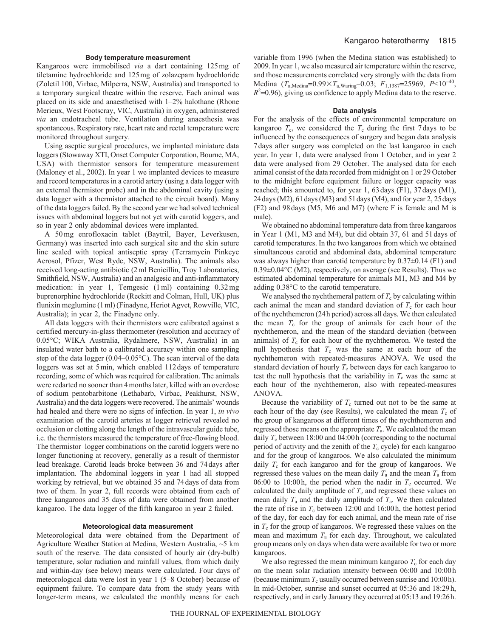#### **Body temperature measurement**

Kangaroos were immobilised *via* a dart containing 125mg of tiletamine hydrochloride and 125mg of zolazepam hydrochloride (Zoletil 100, Virbac, Milperra, NSW, Australia) and transported to a temporary surgical theatre within the reserve. Each animal was placed on its side and anaesthetised with 1–2% halothane (Rhone Merieux, West Footscray, VIC, Australia) in oxygen, administered *via* an endotracheal tube. Ventilation during anaesthesia was spontaneous. Respiratory rate, heart rate and rectal temperature were monitored throughout surgery.

Using aseptic surgical procedures, we implanted miniature data loggers (Stowaway XTI, Onset Computer Corporation, Bourne, MA, USA) with thermistor sensors for temperature measurement (Maloney et al., 2002). In year 1 we implanted devices to measure and record temperatures in a carotid artery (using a data logger with an external thermistor probe) and in the abdominal cavity (using a data logger with a thermistor attached to the circuit board). Many of the data loggers failed. By the second year we had solved technical issues with abdominal loggers but not yet with carotid loggers, and so in year 2 only abdominal devices were implanted.

A 50mg enrofloxacin tablet (Baytril, Bayer, Leverkusen, Germany) was inserted into each surgical site and the skin suture line sealed with topical antiseptic spray (Terramycin Pinkeye Aerosol, Pfizer, West Ryde, NSW, Australia). The animals also received long-acting antibiotic (2ml Benicillin, Troy Laboratories, Smithfield, NSW, Australia) and an analgesic and anti-inflammatory medication: in year 1, Temgesic (1ml) containing 0.32mg buprenorphine hydrochloride (Reckitt and Colman, Hull, UK) plus flunixin meglumine (1ml) (Finadyne, Heriot Agvet, Rowville, VIC, Australia); in year 2, the Finadyne only.

All data loggers with their thermistors were calibrated against a certified mercury-in-glass thermometer (resolution and accuracy of 0.05°C; WIKA Australia, Rydalmere, NSW, Australia) in an insulated water bath to a calibrated accuracy within one sampling step of the data logger (0.04–0.05°C). The scan interval of the data loggers was set at 5min, which enabled 112days of temperature recording, some of which was required for calibration. The animals were redarted no sooner than 4months later, killed with an overdose of sodium pentobarbitone (Lethabarb, Virbac, Peakhurst, NSW, Australia) and the data loggers were recovered. The animals' wounds had healed and there were no signs of infection. In year 1, *in vivo* examination of the carotid arteries at logger retrieval revealed no occlusion or clotting along the length of the intravascular guide tube, i.e. the thermistors measured the temperature of free-flowing blood. The thermistor–logger combinations on the carotid loggers were no longer functioning at recovery, generally as a result of thermistor lead breakage. Carotid leads broke between 36 and 74days after implantation. The abdominal loggers in year 1 had all stopped working by retrieval, but we obtained 35 and 74days of data from two of them. In year 2, full records were obtained from each of three kangaroos and 35 days of data were obtained from another kangaroo. The data logger of the fifth kangaroo in year 2 failed.

## **Meteorological data measurement**

Meteorological data were obtained from the Department of Agriculture Weather Station at Medina, Western Australia, ~5 km south of the reserve. The data consisted of hourly air (dry-bulb) temperature, solar radiation and rainfall values, from which daily and within-day (see below) means were calculated. Four days of meteorological data were lost in year 1 (5–8 October) because of equipment failure. To compare data from the study years with longer-term means, we calculated the monthly means for each variable from 1996 (when the Medina station was established) to 2009. In year 1, we also measured air temperature within the reserve, and those measurements correlated very strongly with the data from Medina  $(T_{a,\text{Median}}=0.99\times T_{a,\text{Waring}}-0.03; F_{1,1387}=25969, P<10^{-40},$  $R<sup>2</sup>=0.96$ ), giving us confidence to apply Medina data to the reserve.

### **Data analysis**

For the analysis of the effects of environmental temperature on kangaroo  $T_c$ , we considered the  $T_c$  during the first 7 days to be influenced by the consequences of surgery and began data analysis 7days after surgery was completed on the last kangaroo in each year. In year 1, data were analysed from 1 October, and in year 2 data were analysed from 29 October. The analysed data for each animal consist of the data recorded from midnight on 1 or 29 October to the midnight before equipment failure or logger capacity was reached; this amounted to, for year 1, 63days (F1), 37days (M1), 24days (M2), 61days (M3) and 51days (M4), and for year 2, 25days (F2) and 98days (M5, M6 and M7) (where F is female and M is male).

We obtained no abdominal temperature data from three kangaroos in Year 1 (M1, M3 and M4), but did obtain 37, 61 and 51days of carotid temperatures. In the two kangaroos from which we obtained simultaneous carotid and abdominal data, abdominal temperature was always higher than carotid temperature by 0.37±0.14 (F1) and 0.39±0.04°C (M2), respectively, on average (see Results). Thus we estimated abdominal temperature for animals M1, M3 and M4 by adding 0.38°C to the carotid temperature.

We analysed the nychthemeral pattern of  $T_c$  by calculating within each animal the mean and standard deviation of  $T_c$  for each hour of the nychthemeron (24h period) across all days. We then calculated the mean  $T_c$  for the group of animals for each hour of the nychthemeron, and the mean of the standard deviation (between animals) of  $T_c$  for each hour of the nychthemeron. We tested the null hypothesis that  $T_c$  was the same at each hour of the nychthemeron with repeated-measures ANOVA. We used the standard deviation of hourly  $T_c$  between days for each kangaroo to test the null hypothesis that the variability in  $T_c$  was the same at each hour of the nychthemeron, also with repeated-measures ANOVA.

Because the variability of  $T_c$  turned out not to be the same at each hour of the day (see Results), we calculated the mean  $T_c$  of the group of kangaroos at different times of the nychthemeron and regressed those means on the appropriate *T*a. We calculated the mean daily  $T_c$  between 18:00 and 04:00 h (corresponding to the nocturnal period of activity and the zenith of the *T*<sub>c</sub> cycle) for each kangaroo and for the group of kangaroos. We also calculated the minimum daily  $T_c$  for each kangaroo and for the group of kangaroos. We regressed these values on the mean daily  $T_a$  and the mean  $T_a$  from 06:00 to 10:00h, the period when the nadir in  $T_c$  occurred. We calculated the daily amplitude of  $T_c$  and regressed these values on mean daily  $T_a$  and the daily amplitude of  $T_a$ . We then calculated the rate of rise in  $T_c$  between 12:00 and 16:00 h, the hottest period of the day, for each day for each animal, and the mean rate of rise in  $T_c$  for the group of kangaroos. We regressed these values on the mean and maximum *T*<sup>a</sup> for each day. Throughout, we calculated group means only on days when data were available for two or more kangaroos.

We also regressed the mean minimum kangaroo  $T_c$  for each day on the mean solar radiation intensity between 06:00 and 10:00h (because minimum  $T_c$  usually occurred between sunrise and 10:00h). In mid-October, sunrise and sunset occurred at 05:36 and 18:29h, respectively, and in early January they occurred at 05:13 and 19:26h.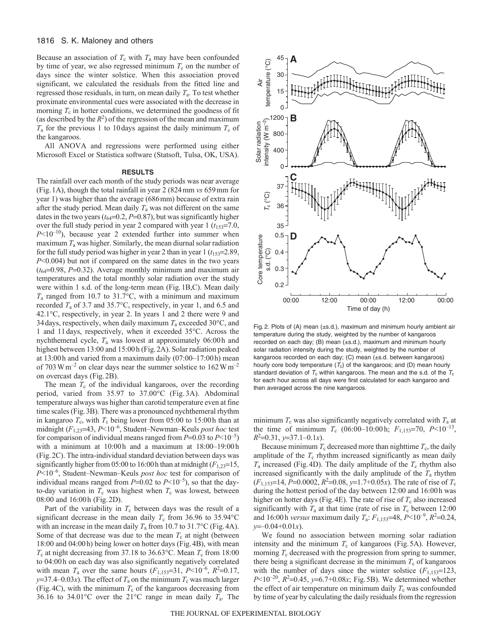## 1816 S. K. Maloney and others

Because an association of  $T_c$  with  $T_a$  may have been confounded by time of year, we also regressed minimum  $T_c$  on the number of days since the winter solstice. When this association proved significant, we calculated the residuals from the fitted line and regressed those residuals, in turn, on mean daily  $T_a$ . To test whether proximate environmental cues were associated with the decrease in morning  $T_c$  in hotter conditions, we determined the goodness of fit (as described by the  $R^2$ ) of the regression of the mean and maximum  $T_a$  for the previous 1 to 10 days against the daily minimum  $T_c$  of the kangaroos.

All ANOVA and regressions were performed using either Microsoft Excel or Statistica software (Statsoft, Tulsa, OK, USA).

## **RESULTS**

The rainfall over each month of the study periods was near average (Fig.1A), though the total rainfall in year 2 (824mm *vs* 659mm for year 1) was higher than the average (686mm) because of extra rain after the study period. Mean daily  $T_a$  was not different on the same dates in the two years  $(t_{64} = 0.2, P = 0.87)$ , but was significantly higher over the full study period in year 2 compared with year  $1$  ( $t_{153}=7.0$ , *P*<10–10), because year 2 extended further into summer when maximum *T*<sup>a</sup> was higher. Similarly, the mean diurnal solar radiation for the full study period was higher in year 2 than in year  $1 (t_{153} = 2.89)$ , *P*<0.004) but not if compared on the same dates in the two years  $(t_{64}=0.98, P=0.32)$ . Average monthly minimum and maximum air temperatures and the total monthly solar radiation over the study were within 1 s.d. of the long-term mean (Fig.1B,C). Mean daily *T*<sup>a</sup> ranged from 10.7 to 31.7°C, with a minimum and maximum recorded *T*<sup>a</sup> of 3.7 and 35.7°C, respectively, in year 1, and 6.5 and 42.1°C, respectively, in year 2. In years 1 and 2 there were 9 and 34days, respectively, when daily maximum *T*<sup>a</sup> exceeded 30°C, and 1 and 11days, respectively, when it exceeded 35°C. Across the nychthemeral cycle, *T*<sup>a</sup> was lowest at approximately 06:00h and highest between 13:00 and 15:00h (Fig.2A). Solar radiation peaked at 13:00h and varied from a maximum daily (07:00–17:00h) mean of 703 W m<sup>-2</sup> on clear days near the summer solstice to  $162$  W m<sup>-2</sup> on overcast days (Fig.2B).

The mean  $T_c$  of the individual kangaroos, over the recording period, varied from 35.97 to 37.00°C (Fig. 3A). Abdominal temperature always was higher than carotid temperature even at fine time scales (Fig.3B). There was a pronounced nychthemeral rhythm in kangaroo  $T_c$ , with  $T_c$  being lower from 05:00 to 15:00h than at midnight ( $F_{1,23}=43$ ,  $P<10^{-6}$ , Student–Newman–Keuls *post hoc* test for comparison of individual means ranged from  $P=0.03$  to  $P<10^{-5}$ ) with a minimum at 10:00h and a maximum at 18:00–19:00h (Fig.2C). The intra-individual standard deviation between days was significantly higher from 05:00 to 16:00 h than at midnight  $(F_{1,23}=15,$ *P*<10–6, Student–Newman–Keuls *post hoc* test for comparison of individual means ranged from  $P=0.02$  to  $P<10^{-5}$ ), so that the dayto-day variation in  $T_c$  was highest when  $T_c$  was lowest, between 08:00 and 16:00h (Fig.2D).

Part of the variability in  $T_c$  between days was the result of a significant decrease in the mean daily  $T_c$  from 36.96 to 35.94 °C with an increase in the mean daily  $T_a$  from 10.7 to 31.7°C (Fig. 4A). Some of that decrease was due to the mean  $T_c$  at night (between 18:00 and 04:00h) being lower on hotter days (Fig.4B), with mean  $T_c$  at night decreasing from 37.18 to 36.63°C. Mean  $T_c$  from 18:00 to 04:00h on each day was also significantly negatively correlated with mean  $T_a$  over the same hours  $(F_{1,153}=31, P<10^{-6}, R^2=0.17,$  $y=37.4-0.03x$ ). The effect of  $T_a$  on the minimum  $T_c$  was much larger (Fig. 4C), with the minimum  $T_c$  of the kangaroos decreasing from 36.16 to 34.01 $^{\circ}$ C over the 21 $^{\circ}$ C range in mean daily  $T_a$ . The



Fig. 2. Plots of (A) mean (±s.d.), maximum and minimum hourly ambient air temperature during the study, weighted by the number of kangaroos recorded on each day; (B) mean (±s.d.), maximum and minimum hourly solar radiation intensity during the study, weighted by the number of kangaroos recorded on each day; (C) mean (±s.d. between kangaroos) hourly core body temperature  $(T_c)$  of the kangaroos; and (D) mean hourly standard deviation of  $T_c$  within kangaroos. The mean and the s.d. of the  $T_c$ for each hour across all days were first calculated for each kangaroo and then averaged across the nine kangaroos.

minimum  $T_c$  was also significantly negatively correlated with  $T_a$  at the time of minimum  $T_c$  (06:00–10:00 h;  $F_{1,153}=70$ ,  $P<10^{-13}$ , *R*2 0.31, *y*37.1–0.1*x*).

Because minimum  $T_c$  decreased more than nighttime  $T_c$ , the daily amplitude of the  $T_c$  rhythm increased significantly as mean daily  $T_a$  increased (Fig. 4D). The daily amplitude of the  $T_c$  rhythm also increased significantly with the daily amplitude of the *T*<sup>a</sup> rhythm  $(F_{1,153}=14, P=0.0002, R^2=0.08, y=1.7+0.05x)$ . The rate of rise of  $T_c$ during the hottest period of the day between 12:00 and 16:00h was higher on hotter days (Fig. 4E). The rate of rise of  $T_c$  also increased significantly with  $T_a$  at that time (rate of rise in  $T_c$  between 12:00 and 16:00h *versus* maximum daily  $T_a$ :  $F_{1,153}$ =48,  $P<10^{-9}$ ,  $R^2$ =0.24, *y*–0.04+0.01*x*).

We found no association between morning solar radiation intensity and the minimum  $T_c$  of kangaroos (Fig.5A). However, morning  $T_c$  decreased with the progression from spring to summer, there being a significant decrease in the minimum  $T_c$  of kangaroos with the number of days since the winter solstice  $(F_{1,153}=123)$ ,  $P \le 10^{-20}$ ,  $R^2 = 0.45$ ,  $y = 6.7 + 0.08x$ ; Fig.5B). We determined whether the effect of air temperature on minimum daily  $T_c$  was confounded by time of year by calculating the daily residuals from the regression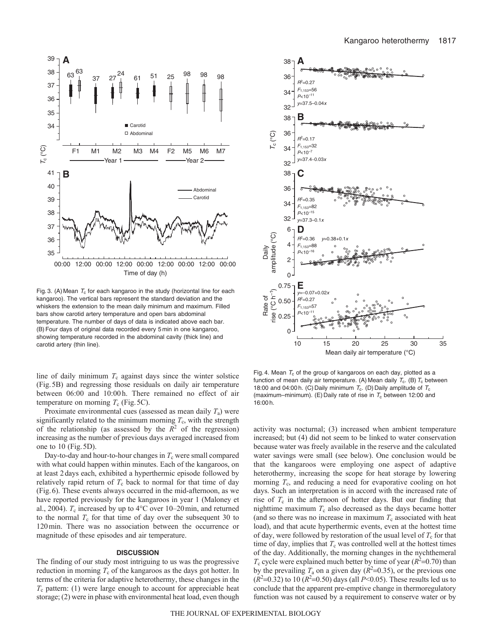

Fig. 3. (A) Mean  $T_c$  for each kangaroo in the study (horizontal line for each kangaroo). The vertical bars represent the standard deviation and the whiskers the extension to the mean daily minimum and maximum. Filled bars show carotid artery temperature and open bars abdominal temperature. The number of days of data is indicated above each bar. (B)Four days of original data recorded every 5 min in one kangaroo, showing temperature recorded in the abdominal cavity (thick line) and carotid artery (thin line).

line of daily minimum  $T_c$  against days since the winter solstice (Fig.5B) and regressing those residuals on daily air temperature between 06:00 and 10:00 h. There remained no effect of air temperature on morning  $T_c$  (Fig. 5C).

Proximate environmental cues (assessed as mean daily *T*a) were significantly related to the minimum morning  $T_c$ , with the strength of the relationship (as assessed by the  $R^2$  of the regression) increasing as the number of previous days averaged increased from one to 10 (Fig.5D).

Day-to-day and hour-to-hour changes in  $T_c$  were small compared with what could happen within minutes. Each of the kangaroos, on at least 2days each, exhibited a hyperthermic episode followed by relatively rapid return of  $T_c$  back to normal for that time of day (Fig.6). These events always occurred in the mid-afternoon, as we have reported previously for the kangaroos in year 1 (Maloney et al., 2004).  $T_c$  increased by up to  $4^{\circ}$ C over 10–20 min, and returned to the normal  $T_c$  for that time of day over the subsequent 30 to 120min. There was no association between the occurrence or magnitude of these episodes and air temperature.

## **DISCUSSION**

The finding of our study most intriguing to us was the progressive reduction in morning  $T_c$  of the kangaroos as the days got hotter. In terms of the criteria for adaptive heterothermy, these changes in the  $T_c$  pattern: (1) were large enough to account for appreciable heat storage; (2) were in phase with environmental heat load, even though



Fig. 4. Mean  $T_c$  of the group of kangaroos on each day, plotted as a function of mean daily air temperature. (A) Mean daily  $T_c$ . (B)  $T_c$  between 18:00 and 04:00 h. (C) Daily minimum  $T_c$ . (D) Daily amplitude of  $T_c$ (maximum–minimum). (E) Daily rate of rise in  $T_c$  between 12:00 and 16:00 h.

activity was nocturnal; (3) increased when ambient temperature increased; but (4) did not seem to be linked to water conservation because water was freely available in the reserve and the calculated water savings were small (see below). One conclusion would be that the kangaroos were employing one aspect of adaptive heterothermy, increasing the scope for heat storage by lowering morning  $T_c$ , and reducing a need for evaporative cooling on hot days. Such an interpretation is in accord with the increased rate of rise of  $T_c$  in the afternoon of hotter days. But our finding that nighttime maximum  $T_c$  also decreased as the days became hotter (and so there was no increase in maximum  $T_c$  associated with heat load), and that acute hyperthermic events, even at the hottest time of day, were followed by restoration of the usual level of  $T_c$  for that time of day, implies that  $T_c$  was controlled well at the hottest times of the day. Additionally, the morning changes in the nychthemeral  $T_c$  cycle were explained much better by time of year ( $R^2$ =0.70) than by the prevailing  $T_a$  on a given day ( $R^2$ =0.35), or the previous one  $(R^2=0.32)$  to 10  $(R^2=0.50)$  days (all *P*<0.05). These results led us to conclude that the apparent pre-emptive change in thermoregulatory function was not caused by a requirement to conserve water or by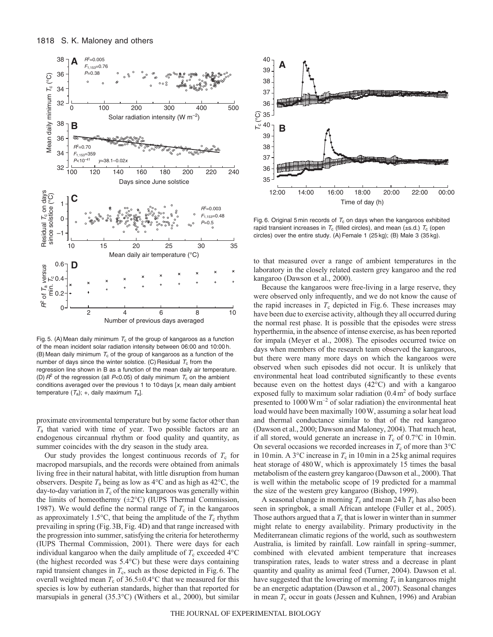

Fig. 5. (A) Mean daily minimum  $T_c$  of the group of kangaroos as a function of the mean incident solar radiation intensity between 06:00 and 10:00 h. (B) Mean daily minimum  $T_c$  of the group of kangaroos as a function of the number of days since the winter solstice. (C) Residual  $T_c$  from the regression line shown in B as a function of the mean daily air temperature. (D)  $R^2$  of the regression (all P<0.05) of daily minimum  $T_c$  on the ambient conditions averaged over the previous 1 to 10 days [x, mean daily ambient temperature  $(T_a)$ ; +, daily maximum  $T_a$ ].

proximate environmental temperature but by some factor other than *T*<sup>a</sup> that varied with time of year. Two possible factors are an endogenous circannual rhythm or food quality and quantity, as summer coincides with the dry season in the study area.

Our study provides the longest continuous records of  $T_c$  for macropod marsupials, and the records were obtained from animals living free in their natural habitat, with little disruption from human observers. Despite  $T_a$  being as low as  $4^{\circ}$ C and as high as  $42^{\circ}$ C, the day-to-day variation in  $T_c$  of the nine kangaroos was generally within the limits of homeothermy  $(\pm 2^{\circ}C)$  (IUPS Thermal Commission, 1987). We would define the normal range of  $T_c$  in the kangaroos as approximately 1.5 $\degree$ C, that being the amplitude of the  $T_c$  rhythm prevailing in spring (Fig.3B, Fig. 4D) and that range increased with the progression into summer, satisfying the criteria for heterothermy (IUPS Thermal Commission, 2001). There were days for each individual kangaroo when the daily amplitude of  $T_c$  exceeded  $4^{\circ}$ C (the highest recorded was 5.4°C) but these were days containing rapid transient changes in  $T_c$ , such as those depicted in Fig. 6. The overall weighted mean  $T_c$  of 36.5±0.4°C that we measured for this species is low by eutherian standards, higher than that reported for marsupials in general (35.3°C) (Withers et al., 2000), but similar



Fig. 6. Original 5 min records of  $T_c$  on days when the kangaroos exhibited rapid transient increases in  $T_c$  (filled circles), and mean (±s.d.)  $T_c$  (open circles) over the entire study. (A) Female 1 (25 kg); (B) Male 3 (35 kg).

to that measured over a range of ambient temperatures in the laboratory in the closely related eastern grey kangaroo and the red kangaroo (Dawson et al., 2000).

Because the kangaroos were free-living in a large reserve, they were observed only infrequently, and we do not know the cause of the rapid increases in  $T_c$  depicted in Fig. 6. These increases may have been due to exercise activity, although they all occurred during the normal rest phase. It is possible that the episodes were stress hyperthermia, in the absence of intense exercise, as has been reported for impala (Meyer et al., 2008). The episodes occurred twice on days when members of the research team observed the kangaroos, but there were many more days on which the kangaroos were observed when such episodes did not occur. It is unlikely that environmental heat load contributed significantly to these events because even on the hottest days (42°C) and with a kangaroo exposed fully to maximum solar radiation  $(0.4 \text{ m}^2 \text{ of body surface})$ presented to  $1000 \,\mathrm{W\,m}^{-2}$  of solar radiation) the environmental heat load would have been maximally 100W, assuming a solar heat load and thermal conductance similar to that of the red kangaroo (Dawson et al., 2000; Dawson and Maloney, 2004). That much heat, if all stored, would generate an increase in  $T_c$  of 0.7°C in 10min. On several occasions we recorded increases in  $T_c$  of more than 3<sup>°</sup>C in 10min. A 3 $\degree$ C increase in  $T_c$  in 10min in a 25 kg animal requires heat storage of 480W, which is approximately 15 times the basal metabolism of the eastern grey kangaroo (Dawson et al., 2000). That is well within the metabolic scope of 19 predicted for a mammal the size of the western grey kangaroo (Bishop, 1999).

A seasonal change in morning  $T_c$  and mean 24h  $T_c$  has also been seen in springbok, a small African antelope (Fuller et al., 2005). Those authors argued that a  $T_c$  that is lower in winter than in summer might relate to energy availability. Primary productivity in the Mediterranean climatic regions of the world, such as southwestern Australia, is limited by rainfall. Low rainfall in spring–summer, combined with elevated ambient temperature that increases transpiration rates, leads to water stress and a decrease in plant quantity and quality as animal feed (Turner, 2004). Dawson et al. have suggested that the lowering of morning  $T_c$  in kangaroos might be an energetic adaptation (Dawson et al., 2007). Seasonal changes in mean  $T_c$  occur in goats (Jessen and Kuhnen, 1996) and Arabian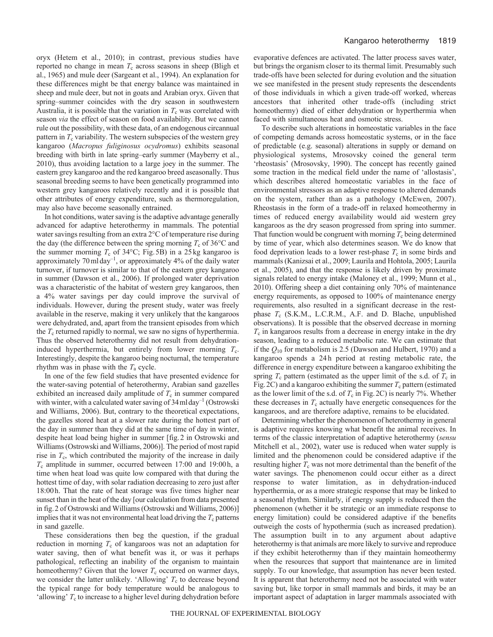oryx (Hetem et al., 2010); in contrast, previous studies have reported no change in mean  $T_c$  across seasons in sheep (Bligh et al., 1965) and mule deer (Sargeant et al., 1994). An explanation for these differences might be that energy balance was maintained in sheep and mule deer, but not in goats and Arabian oryx. Given that spring–summer coincides with the dry season in southwestern Australia, it is possible that the variation in  $T_c$  was correlated with season *via* the effect of season on food availability. But we cannot rule out the possibility, with these data, of an endogenous circannual pattern in  $T_c$  variability. The western subspecies of the western grey kangaroo (*Macropus fuliginosus ocydromus*) exhibits seasonal breeding with birth in late spring–early summer (Mayberry et al., 2010), thus avoiding lactation to a large joey in the summer. The eastern grey kangaroo and the red kangaroo breed aseasonally. Thus seasonal breeding seems to have been genetically programmed into western grey kangaroos relatively recently and it is possible that other attributes of energy expenditure, such as thermoregulation, may also have become seasonally entrained.

In hot conditions, water saving is the adaptive advantage generally advanced for adaptive heterothermy in mammals. The potential water savings resulting from an extra 2°C of temperature rise during the day (the difference between the spring morning  $T_c$  of 36 $\degree$ C and the summer morning  $T_c$  of 34 $\degree$ C; Fig.5B) in a 25 kg kangaroo is approximately 70 ml day<sup>-1</sup>, or approximately 4% of the daily water turnover, if turnover is similar to that of the eastern grey kangaroo in summer (Dawson et al., 2006). If prolonged water deprivation was a characteristic of the habitat of western grey kangaroos, then a 4% water savings per day could improve the survival of individuals. However, during the present study, water was freely available in the reserve, making it very unlikely that the kangaroos were dehydrated, and, apart from the transient episodes from which the  $T_c$  returned rapidly to normal, we saw no signs of hyperthermia. Thus the observed heterothermy did not result from dehydrationinduced hyperthermia, but entirely from lower morning  $T_c$ . Interestingly, despite the kangaroo being nocturnal, the temperature rhythm was in phase with the *T*<sup>a</sup> cycle.

In one of the few field studies that have presented evidence for the water-saving potential of heterothermy, Arabian sand gazelles exhibited an increased daily amplitude of  $T_c$  in summer compared with winter, with a calculated water saving of  $34 \text{ ml day}^{-1}$  (Ostrowski and Williams, 2006). But, contrary to the theoretical expectations, the gazelles stored heat at a slower rate during the hottest part of the day in summer than they did at the same time of day in winter, despite heat load being higher in summer [fig.2 in Ostrowski and Williams (Ostrowski and Williams, 2006)]. The period of most rapid rise in *T*c, which contributed the majority of the increase in daily *T*<sup>c</sup> amplitude in summer, occurred between 17:00 and 19:00h, a time when heat load was quite low compared with that during the hottest time of day, with solar radiation decreasing to zero just after 18:00h. That the rate of heat storage was five times higher near sunset than in the heat of the day [our calculation from data presented in fig.2 of Ostrowski and Williams (Ostrowski and Williams, 2006)] implies that it was not environmental heat load driving the  $T_c$  patterns in sand gazelle.

These considerations then beg the question, if the gradual reduction in morning  $T_c$  of kangaroos was not an adaptation for water saving, then of what benefit was it, or was it perhaps pathological, reflecting an inability of the organism to maintain homeothermy? Given that the lower  $T_c$  occurred on warmer days, we consider the latter unlikely. 'Allowing'  $T_c$  to decrease beyond the typical range for body temperature would be analogous to 'allowing'  $T_c$  to increase to a higher level during dehydration before evaporative defences are activated. The latter process saves water, but brings the organism closer to its thermal limit. Presumably such trade-offs have been selected for during evolution and the situation we see manifested in the present study represents the descendents of those individuals in which a given trade-off worked, whereas ancestors that inherited other trade-offs (including strict homeothermy) died of either dehydration or hyperthermia when faced with simultaneous heat and osmotic stress.

To describe such alterations in homeostatic variables in the face of competing demands across homeostatic systems, or in the face of predictable (e.g. seasonal) alterations in supply or demand on physiological systems, Mrosovsky coined the general term 'rheostasis' (Mrosovsky, 1990). The concept has recently gained some traction in the medical field under the name of 'allostasis', which describes altered homeostatic variables in the face of environmental stressors as an adaptive response to altered demands on the system, rather than as a pathology (McEwen, 2007). Rheostasis in the form of a trade-off in relaxed homeothermy in times of reduced energy availability would aid western grey kangaroos as the dry season progressed from spring into summer. That function would be congruent with morning  $T_c$  being determined by time of year, which also determines season. We do know that food deprivation leads to a lower rest-phase  $T_c$  in some birds and mammals (Kanizsai et al., 2009; Laurila and Hohtola, 2005; Laurila et al., 2005), and that the response is likely driven by proximate signals related to energy intake (Maloney et al., 1999; Munn et al., 2010). Offering sheep a diet containing only 70% of maintenance energy requirements, as opposed to 100% of maintenance energy requirements, also resulted in a significant decrease in the restphase *T<sub>c</sub>* (S.K.M., L.C.R.M., A.F. and D. Blache, unpublished observations). It is possible that the observed decrease in morning  $T_c$  in kangaroos results from a decrease in energy intake in the dry season, leading to a reduced metabolic rate. We can estimate that if the *Q*<sup>10</sup> for metabolism is 2.5 (Dawson and Hulbert, 1970) and a kangaroo spends a 24h period at resting metabolic rate, the difference in energy expenditure between a kangaroo exhibiting the spring  $T_c$  pattern (estimated as the upper limit of the s.d. of  $T_c$  in Fig. 2C) and a kangaroo exhibiting the summer  $T_c$  pattern (estimated as the lower limit of the s.d. of  $T_c$  in Fig. 2C) is nearly 7%. Whether these decreases in  $T_c$  actually have energetic consequences for the kangaroos, and are therefore adaptive, remains to be elucidated.

Determining whether the phenomenon of heterothermy in general is adaptive requires knowing what benefit the animal receives. In terms of the classic interpretation of adaptive heterothermy (*sensu* Mitchell et al., 2002), water use is reduced when water supply is limited and the phenomenon could be considered adaptive if the resulting higher  $T_c$  was not more detrimental than the benefit of the water savings. The phenomenon could occur either as a direct response to water limitation, as in dehydration-induced hyperthermia, or as a more strategic response that may be linked to a seasonal rhythm. Similarly, if energy supply is reduced then the phenomenon (whether it be strategic or an immediate response to energy limitation) could be considered adaptive if the benefits outweigh the costs of hypothermia (such as increased predation). The assumption built in to any argument about adaptive heterothermy is that animals are more likely to survive and reproduce if they exhibit heterothermy than if they maintain homeothermy when the resources that support that maintenance are in limited supply. To our knowledge, that assumption has never been tested. It is apparent that heterothermy need not be associated with water saving but, like torpor in small mammals and birds, it may be an important aspect of adaptation in larger mammals associated with